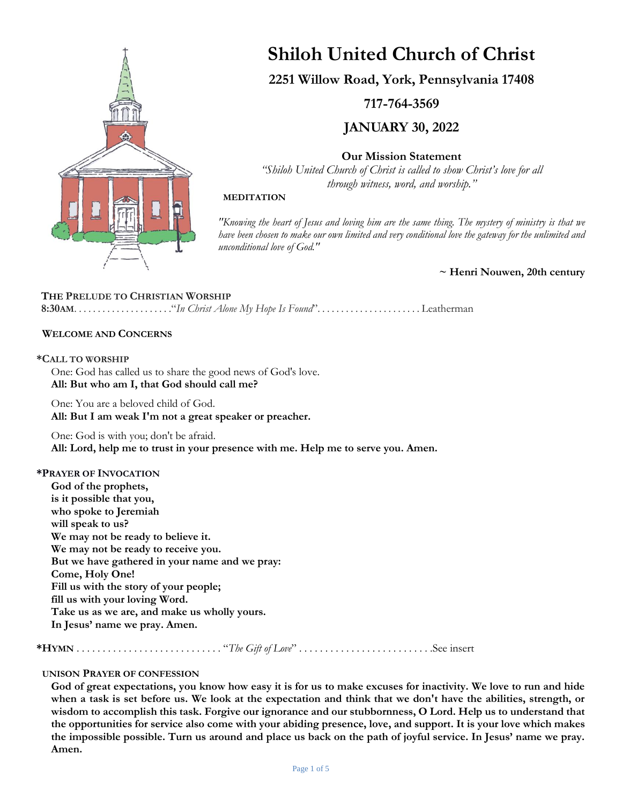

# **Shiloh United Church of Christ**

**2251 Willow Road, York, Pennsylvania 17408**

**717-764-3569**

**JANUARY 30, 2022**

**Our Mission Statement**

*"Shiloh United Church of Christ is called to show Christ's love for all through witness, word, and worship."*

## **MEDITATION**

*"Knowing the heart of Jesus and loving him are the same thing. The mystery of ministry is that we have been chosen to make our own limited and very conditional love the gateway for the unlimited and unconditional love of God."*

**~ Henri Nouwen, 20th century**

# **THE PRELUDE TO CHRISTIAN WORSHIP**

**8:30AM**. . . . . . . . . . . . . . . . . . . . ."*In Christ Alone My Hope Is Found*". . . . . . . . . . . . . . . . . . . . . . Leatherman

## **WELCOME AND CONCERNS**

#### **\*CALL TO WORSHIP**

One: God has called us to share the good news of God's love. **All: But who am I, that God should call me?**

One: You are a beloved child of God. **All: But I am weak I'm not a great speaker or preacher.**

One: God is with you; don't be afraid. **All: Lord, help me to trust in your presence with me. Help me to serve you. Amen.**

#### **\*PRAYER OF INVOCATION**

**God of the prophets, is it possible that you, who spoke to Jeremiah will speak to us? We may not be ready to believe it. We may not be ready to receive you. But we have gathered in your name and we pray: Come, Holy One! Fill us with the story of your people; fill us with your loving Word. Take us as we are, and make us wholly yours. In Jesus' name we pray. Amen.**

**\*HYMN** . . . . . . . . . . . . . . . . . . . . . . . . . . . . "*The Gift of Love*" . . . . . . . . . . . . . . . . . . . . . . . . . .See insert

## **UNISON PRAYER OF CONFESSION**

**God of great expectations, you know how easy it is for us to make excuses for inactivity. We love to run and hide when a task is set before us. We look at the expectation and think that we don't have the abilities, strength, or wisdom to accomplish this task. Forgive our ignorance and our stubbornness, O Lord. Help us to understand that the opportunities for service also come with your abiding presence, love, and support. It is your love which makes the impossible possible. Turn us around and place us back on the path of joyful service. In Jesus' name we pray. Amen.**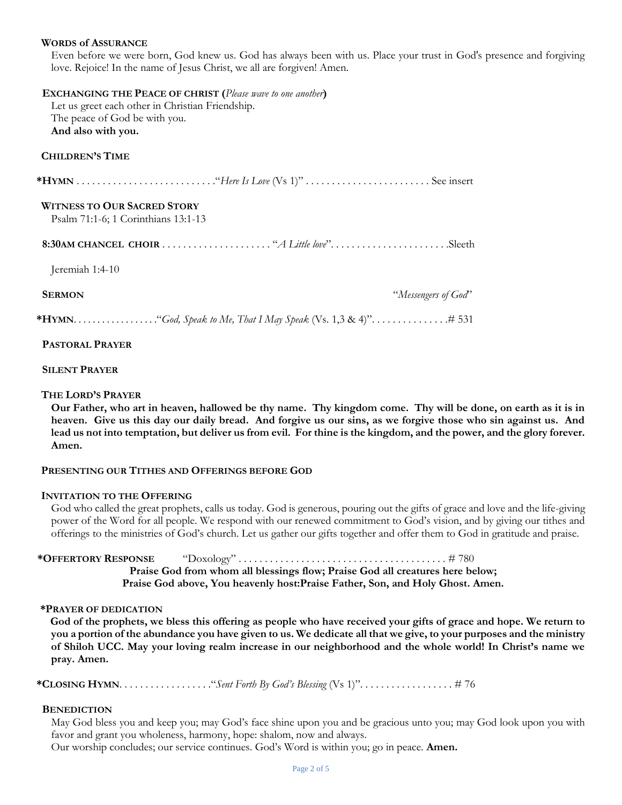#### **WORDS of ASSURANCE**

Even before we were born, God knew us. God has always been with us. Place your trust in God's presence and forgiving love. Rejoice! In the name of Jesus Christ, we all are forgiven! Amen.

 **EXCHANGING THE PEACE OF CHRIST (***Please wave to one another***)** Let us greet each other in Christian Friendship. The peace of God be with you. **And also with you. CHILDREN'S TIME \*HYMN** . . . . . . . . . . . . . . . . . . . . . . . . . . ."*Here Is Love* (Vs 1)" *. . . . . . . . . . . . . . . . . . . . . . . .* See insert  **WITNESS TO OUR SACRED STORY** Psalm 71:1-6; 1 Corinthians 13:1-13

**8:30AM CHANCEL CHOIR** . . . . . . . . . . . . . . . . . . . . . "*A Little love*". . . . . . . . . . . . . . . . . . . . . . .Sleeth

Jeremiah 1:4-10

 **SERMON** "*Messengers of God*"

**\*HYMN**. . . . . . . . . . . . . . . . . ."*God, Speak to Me, That I May Speak* (Vs. 1,3 & 4)". . . . . . . . . . . . . . .# 531

#### **PASTORAL PRAYER**

#### **SILENT PRAYER**

#### **THE LORD'S PRAYER**

**Our Father, who art in heaven, hallowed be thy name. Thy kingdom come. Thy will be done, on earth as it is in heaven. Give us this day our daily bread. And forgive us our sins, as we forgive those who sin against us. And lead us not into temptation, but deliver us from evil. For thine is the kingdom, and the power, and the glory forever. Amen.**

#### **PRESENTING OUR TITHES AND OFFERINGS BEFORE GOD**

#### **INVITATION TO THE OFFERING**

God who called the great prophets, calls us today. God is generous, pouring out the gifts of grace and love and the life-giving power of the Word for all people. We respond with our renewed commitment to God's vision, and by giving our tithes and offerings to the ministries of God's church. Let us gather our gifts together and offer them to God in gratitude and praise.

**\*OFFERTORY RESPONSE** "Doxology" . . . . . . . . . . . . . . . . . . . . . . . . . . . . . . . . . . . . . . . . # 780

**Praise God from whom all blessings flow; Praise God all creatures here below; Praise God above, You heavenly host:Praise Father, Son, and Holy Ghost. Amen.**

#### **\*PRAYER OF DEDICATION**

**God of the prophets, we bless this offering as people who have received your gifts of grace and hope. We return to you a portion of the abundance you have given to us. We dedicate all that we give, to your purposes and the ministry of Shiloh UCC. May your loving realm increase in our neighborhood and the whole world! In Christ's name we pray. Amen.**

**\*CLOSING HYMN**. . . . . . . . . . . . . . . . . ."*Sent Forth By God's Blessing* (Vs 1)". . . . . . . . . . . . . . . . . . # 76

#### **BENEDICTION**

May God bless you and keep you; may God's face shine upon you and be gracious unto you; may God look upon you with favor and grant you wholeness, harmony, hope: shalom, now and always.

Our worship concludes; our service continues. God's Word is within you; go in peace. **Amen.**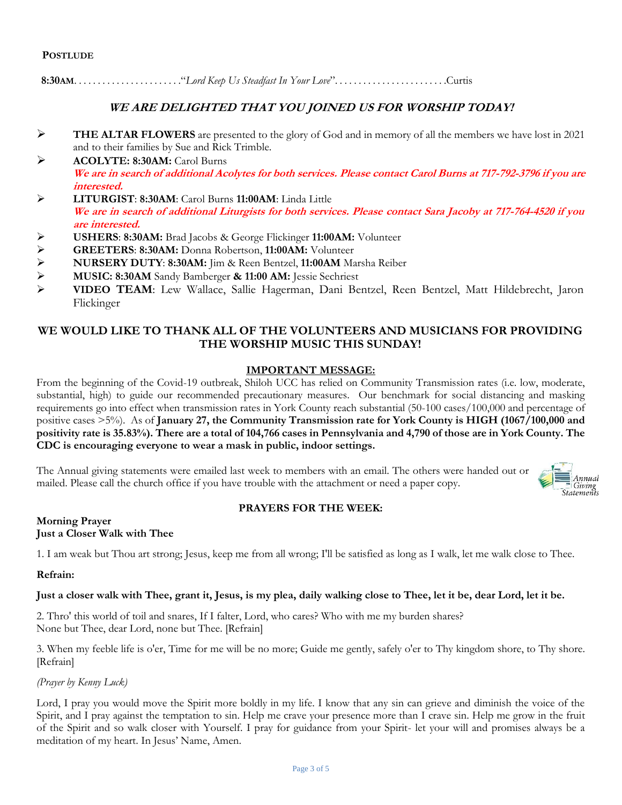**8:30AM**. . . . . . . . . . . . . . . . . . . . . . ."*Lord Keep Us Steadfast In Your Love*". . . . . . . . . . . . . . . . . . . . . . . .Curtis

# **WE ARE DELIGHTED THAT YOU JOINED US FOR WORSHIP TODAY!**

- ➢ **THE ALTAR FLOWERS** are presented to the glory of God and in memory of all the members we have lost in 2021 and to their families by Sue and Rick Trimble.
- ➢ **ACOLYTE: 8:30AM:** Carol Burns **We are in search of additional Acolytes for both services. Please contact Carol Burns at 717-792-3796 if you are interested.**
- ➢ **LITURGIST**: **8:30AM**: Carol Burns **11:00AM**: Linda Little **We are in search of additional Liturgists for both services. Please contact Sara Jacoby at 717-764-4520 if you are interested.**
- ➢ **USHERS**: **8:30AM:** Brad Jacobs & George Flickinger **11:00AM:** Volunteer
- 
- ➢ **GREETERS**: **8:30AM:** Donna Robertson, **11:00AM:** Volunteer ➢ **NURSERY DUTY**: **8:30AM:** Jim & Reen Bentzel, **11:00AM** Marsha Reiber
- ➢ **MUSIC: 8:30AM** Sandy Bamberger **& 11:00 AM:** Jessie Sechriest
- ➢ **VIDEO TEAM**: Lew Wallace, Sallie Hagerman, Dani Bentzel, Reen Bentzel, Matt Hildebrecht, Jaron Flickinger

# **WE WOULD LIKE TO THANK ALL OF THE VOLUNTEERS AND MUSICIANS FOR PROVIDING THE WORSHIP MUSIC THIS SUNDAY!**

## **IMPORTANT MESSAGE:**

From the beginning of the Covid-19 outbreak, Shiloh UCC has relied on Community Transmission rates (i.e. low, moderate, substantial, high) to guide our recommended precautionary measures. Our benchmark for social distancing and masking requirements go into effect when transmission rates in York County reach substantial (50-100 cases/100,000 and percentage of positive cases >5%). As of **January 27, the Community Transmission rate for York County is HIGH (1067/100,000 and positivity rate is 35.83%). There are a total of 104,766 cases in Pennsylvania and 4,790 of those are in York County. The CDC is encouraging everyone to wear a mask in public, indoor settings.**

The Annual giving statements were emailed last week to members with an email. The others were handed out or mailed. Please call the church office if you have trouble with the attachment or need a paper copy.



# **PRAYERS FOR THE WEEK:**

#### **Morning Prayer Just a Closer Walk with Thee**

1. I am weak but Thou art strong; Jesus, keep me from all wrong; I'll be satisfied as long as I walk, let me walk close to Thee.

## **Refrain:**

## **Just a closer walk with Thee, grant it, Jesus, is my plea, daily walking close to Thee, let it be, dear Lord, let it be.**

2. Thro' this world of toil and snares, If I falter, Lord, who cares? Who with me my burden shares? None but Thee, dear Lord, none but Thee. [Refrain]

3. When my feeble life is o'er, Time for me will be no more; Guide me gently, safely o'er to Thy kingdom shore, to Thy shore. [Refrain]

*(Prayer by Kenny Luck)*

Lord, I pray you would move the Spirit more boldly in my life. I know that any sin can grieve and diminish the voice of the Spirit, and I pray against the temptation to sin. Help me crave your presence more than I crave sin. Help me grow in the fruit of the Spirit and so walk closer with Yourself. I pray for guidance from your Spirit- let your will and promises always be a meditation of my heart. In Jesus' Name, Amen.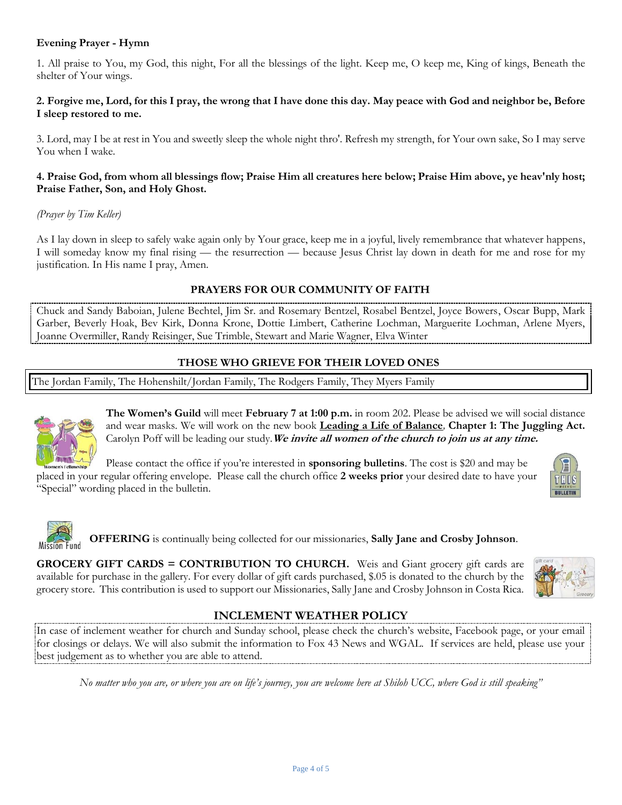# **Evening Prayer - Hymn**

1. All praise to You, my God, this night, For all the blessings of the light. Keep me, O keep me, King of kings, Beneath the shelter of Your wings.

## **2. Forgive me, Lord, for this I pray, the wrong that I have done this day. May peace with God and neighbor be, Before I sleep restored to me.**

3. Lord, may I be at rest in You and sweetly sleep the whole night thro'. Refresh my strength, for Your own sake, So I may serve You when I wake.

## **4. Praise God, from whom all blessings flow; Praise Him all creatures here below; Praise Him above, ye heav'nly host; Praise Father, Son, and Holy Ghost.**

## *(Prayer by Tim Keller)*

As I lay down in sleep to safely wake again only by Your grace, keep me in a joyful, lively remembrance that whatever happens, I will someday know my final rising — the resurrection — because Jesus Christ lay down in death for me and rose for my justification. In His name I pray, Amen.

## **PRAYERS FOR OUR COMMUNITY OF FAITH**

Chuck and Sandy Baboian, Julene Bechtel, Jim Sr. and Rosemary Bentzel, Rosabel Bentzel, Joyce Bowers, Oscar Bupp, Mark Garber, Beverly Hoak, Bev Kirk, Donna Krone, Dottie Limbert, Catherine Lochman, Marguerite Lochman, Arlene Myers, Joanne Overmiller, Randy Reisinger, Sue Trimble, Stewart and Marie Wagner, Elva Winter

## **THOSE WHO GRIEVE FOR THEIR LOVED ONES**

The Jordan Family, The Hohenshilt/Jordan Family, The Rodgers Family, They Myers Family



**The Women's Guild** will meet **February 7 at 1:00 p.m.** in room 202. Please be advised we will social distance and wear masks. We will work on the new book **Leading a Life of Balance***,* **Chapter 1: The Juggling Act.** Carolyn Poff will be leading our study.**We invite all women of the church to join us at any time.**

Please contact the office if you're interested in **sponsoring bulletins**. The cost is \$20 and may be placed in your regular offering envelope. Please call the church office **2 weeks prior** your desired date to have your "Special" wording placed in the bulletin.



**OFFERING** is continually being collected for our missionaries, **Sally Jane and Crosby Johnson**.

**GROCERY GIFT CARDS = CONTRIBUTION TO CHURCH.** Weis and Giant grocery gift cards are available for purchase in the gallery. For every dollar of gift cards purchased, \$.05 is donated to the church by the grocery store. This contribution is used to support our Missionaries, Sally Jane and Crosby Johnson in Costa Rica.



# **INCLEMENT WEATHER POLICY**

In case of inclement weather for church and Sunday school, please check the church's website, Facebook page, or your email for closings or delays. We will also submit the information to Fox 43 News and WGAL. If services are held, please use your best judgement as to whether you are able to attend.

*No matter who you are, or where you are on life's journey, you are welcome here at Shiloh UCC, where God is still speaking"*